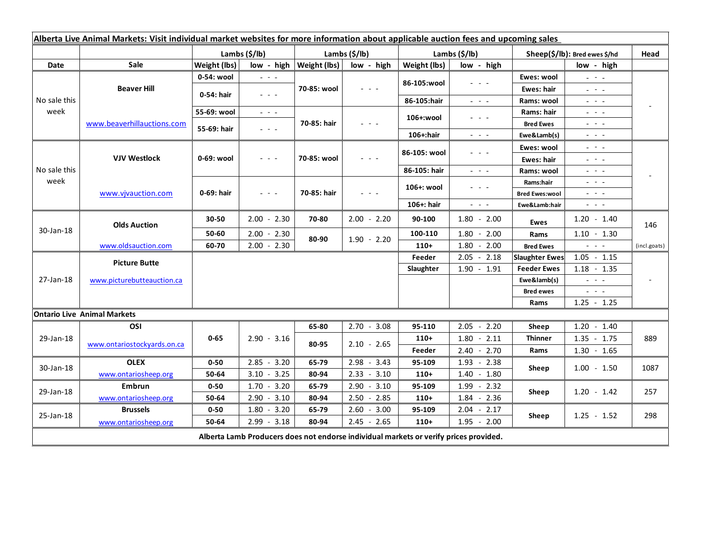| Alberta Live Animal Markets: Visit individual market websites for more information about applicable auction fees and upcoming sales |                                    |                           |                                                                                                |               |                                            |               |                                                                                                                           |                               |                                                                                                                           |                          |
|-------------------------------------------------------------------------------------------------------------------------------------|------------------------------------|---------------------------|------------------------------------------------------------------------------------------------|---------------|--------------------------------------------|---------------|---------------------------------------------------------------------------------------------------------------------------|-------------------------------|---------------------------------------------------------------------------------------------------------------------------|--------------------------|
|                                                                                                                                     |                                    | Lambs $(\frac{2}{3})$ lb) |                                                                                                | Lambs (\$/lb) |                                            | Lambs (\$/lb) |                                                                                                                           | Sheep(\$/lb): Bred ewes \$/hd |                                                                                                                           | Head                     |
| Date                                                                                                                                | <b>Sale</b>                        | Weight (lbs)              | $low - high$                                                                                   | Weight (lbs)  | low - high                                 | Weight (lbs)  | low - high                                                                                                                |                               | low - high                                                                                                                |                          |
| No sale this<br>week                                                                                                                | <b>Beaver Hill</b>                 | 0-54: wool                | $\omega_{\rm{c}}$ and $\omega_{\rm{c}}$                                                        | 70-85: wool   | $ -$                                       | 86-105:wool   | $  -$                                                                                                                     | Ewes: wool                    | $\omega_{\rm{eff}}=0.1$                                                                                                   |                          |
|                                                                                                                                     |                                    | 0-54: hair                | $\frac{1}{2} \left( \frac{1}{2} \right) \left( \frac{1}{2} \right) \left( \frac{1}{2} \right)$ |               |                                            |               |                                                                                                                           | <b>Ewes: hair</b>             | $\omega_{\rm c}$ , $\omega_{\rm c}$ , $\omega_{\rm c}$                                                                    |                          |
|                                                                                                                                     |                                    |                           |                                                                                                |               |                                            | 86-105:hair   | $\omega_{\rm{eff}}$ and $\omega_{\rm{eff}}$                                                                               | Rams: wool                    | $\frac{1}{2} \left( \frac{1}{2} \right) = \frac{1}{2} \left( \frac{1}{2} \right) = \frac{1}{2}$                           |                          |
|                                                                                                                                     | www.beaverhillauctions.com         | 55-69: wool               | $\mathbb{Z}^2 \times \mathbb{Z}^2$                                                             | 70-85: hair   | $\mathbf{L} = \mathbf{L} \cdot \mathbf{L}$ | 106+:wool     | $  -$                                                                                                                     | Rams: hair                    | $\frac{1}{2} \left( \frac{1}{2} \right) = \frac{1}{2} \left( \frac{1}{2} \right)$                                         |                          |
|                                                                                                                                     |                                    | 55-69: hair               | $\omega_{\rm{eff}}$ and $\omega_{\rm{eff}}$                                                    |               |                                            |               |                                                                                                                           | <b>Bred Ewes</b>              | $\frac{1}{2} \left( \frac{1}{2} \right) = \frac{1}{2} \left( \frac{1}{2} \right) = \frac{1}{2}$                           |                          |
|                                                                                                                                     |                                    |                           |                                                                                                |               |                                            | 106+:hair     | $\frac{1}{2} \left( \frac{1}{2} \right) \left( \frac{1}{2} \right) \left( \frac{1}{2} \right) \left( \frac{1}{2} \right)$ | Ewe&Lamb(s)                   | $\frac{1}{2} \left( \frac{1}{2} \right) \left( \frac{1}{2} \right) \left( \frac{1}{2} \right) \left( \frac{1}{2} \right)$ |                          |
| No sale this<br>week                                                                                                                | <b>VJV Westlock</b>                | 0-69: wool                | $  -$                                                                                          | 70-85: wool   |                                            | 86-105: wool  | .                                                                                                                         | Ewes: wool                    | $\frac{1}{2} \left( \frac{1}{2} \right) = \frac{1}{2} \left( \frac{1}{2} \right)$                                         |                          |
|                                                                                                                                     |                                    |                           |                                                                                                |               |                                            |               |                                                                                                                           | <b>Ewes: hair</b>             | $\mathbb{L}^2$ , where $\mathbb{L}^2$                                                                                     |                          |
|                                                                                                                                     |                                    |                           |                                                                                                |               |                                            | 86-105: hair  | $\frac{1}{2} \left( \frac{1}{2} \right) = \frac{1}{2} \left( \frac{1}{2} \right) = \frac{1}{2}$                           | Rams: wool                    | $  -$                                                                                                                     |                          |
|                                                                                                                                     | www.vjvauction.com                 | 0-69: hair                | $\omega_{\rm c}$ , $\omega_{\rm c}$ , $\omega_{\rm c}$                                         | 70-85: hair   | $ -$                                       | 106+: wool    | - - -                                                                                                                     | Rams:hair                     | 20202                                                                                                                     |                          |
|                                                                                                                                     |                                    |                           |                                                                                                |               |                                            |               |                                                                                                                           | <b>Bred Ewes:wool</b>         | 20202                                                                                                                     |                          |
|                                                                                                                                     |                                    |                           |                                                                                                |               |                                            | 106+: hair    | $\frac{1}{2} \left( \frac{1}{2} \right) \left( \frac{1}{2} \right) \left( \frac{1}{2} \right) \left( \frac{1}{2} \right)$ | Ewe&Lamb:hair                 | $\frac{1}{2} \left( \frac{1}{2} \right) \left( \frac{1}{2} \right) \left( \frac{1}{2} \right) \left( \frac{1}{2} \right)$ |                          |
| 30-Jan-18                                                                                                                           | <b>Olds Auction</b>                | 30-50                     | $2.00 - 2.30$                                                                                  | 70-80         | $2.00 - 2.20$                              | 90-100        | $1.80 - 2.00$                                                                                                             | Ewes                          | $1.20 - 1.40$                                                                                                             | 146                      |
|                                                                                                                                     |                                    | 50-60                     | $2.00 - 2.30$                                                                                  | 80-90         | $1.90 - 2.20$                              | 100-110       | $1.80 - 2.00$                                                                                                             | Rams                          | $1.10 - 1.30$                                                                                                             |                          |
|                                                                                                                                     | www.oldsauction.com                | 60-70                     | $2.00 - 2.30$                                                                                  |               |                                            | $110+$        | 1.80<br>$-2.00$                                                                                                           | <b>Bred Ewes</b>              | $\frac{1}{2} \left( \frac{1}{2} \right) \left( \frac{1}{2} \right) \left( \frac{1}{2} \right)$                            | (incl.goats)             |
| 27-Jan-18                                                                                                                           | <b>Picture Butte</b>               |                           |                                                                                                |               |                                            | Feeder        | $2.05 - 2.18$                                                                                                             | <b>Slaughter Ewes</b>         | $1.05 - 1.15$                                                                                                             |                          |
|                                                                                                                                     | www.picturebutteauction.ca         |                           |                                                                                                |               |                                            | Slaughter     | $1.90 - 1.91$                                                                                                             | <b>Feeder Ewes</b>            | $1.18 - 1.35$                                                                                                             | $\overline{\phantom{a}}$ |
|                                                                                                                                     |                                    |                           |                                                                                                |               |                                            |               |                                                                                                                           | Ewe&lamb(s)                   | $\omega_{\rm{eff}}$ and $\omega_{\rm{eff}}$                                                                               |                          |
|                                                                                                                                     |                                    |                           |                                                                                                |               |                                            |               |                                                                                                                           | <b>Bred ewes</b>              | $\omega_{\rm{c}}$ , $\omega_{\rm{c}}$ , $\omega_{\rm{c}}$                                                                 |                          |
|                                                                                                                                     |                                    |                           |                                                                                                |               |                                            |               |                                                                                                                           | Rams                          | $1.25 - 1.25$                                                                                                             |                          |
|                                                                                                                                     | <b>Ontario Live Animal Markets</b> |                           |                                                                                                |               |                                            |               |                                                                                                                           |                               |                                                                                                                           |                          |
| 29-Jan-18                                                                                                                           | OSI                                | $0 - 65$                  | $2.90 - 3.16$                                                                                  | 65-80         | $2.70 - 3.08$                              | 95-110        | $2.05 - 2.20$                                                                                                             | Sheep                         | $1.20 - 1.40$                                                                                                             | 889                      |
|                                                                                                                                     | www.ontariostockyards.on.ca        |                           |                                                                                                | 80-95         | $2.10 - 2.65$                              | $110+$        | $1.80 - 2.11$                                                                                                             | <b>Thinner</b><br>Rams        | $1.35 - 1.75$                                                                                                             |                          |
|                                                                                                                                     |                                    |                           |                                                                                                |               |                                            | Feeder        | $2.40 - 2.70$                                                                                                             |                               | $1.30 - 1.65$                                                                                                             |                          |
| 30-Jan-18                                                                                                                           | <b>OLEX</b>                        | $0 - 50$                  | $2.85 - 3.20$                                                                                  | 65-79         | $2.98 - 3.43$                              | 95-109        | $1.93 - 2.38$                                                                                                             | Sheep                         | $1.00 - 1.50$                                                                                                             | 1087                     |
|                                                                                                                                     | www.ontariosheep.org               | 50-64                     | $3.10 - 3.25$                                                                                  | 80-94         | $2.33 - 3.10$                              | $110+$        | $1.40 - 1.80$                                                                                                             |                               |                                                                                                                           |                          |
| 29-Jan-18                                                                                                                           | Embrun                             | $0 - 50$                  | $1.70 - 3.20$                                                                                  | 65-79         | $2.90 - 3.10$                              | 95-109        | $1.99 - 2.32$                                                                                                             | Sheep                         | $1.20 - 1.42$                                                                                                             | 257                      |
|                                                                                                                                     | www.ontariosheep.org               | 50-64                     | $-3.10$<br>2.90                                                                                | 80-94         | $2.50 - 2.85$                              | $110+$        | $1.84 - 2.36$                                                                                                             |                               |                                                                                                                           |                          |
| 25-Jan-18                                                                                                                           | <b>Brussels</b>                    | $0 - 50$                  | $-3.20$<br>1.80                                                                                | 65-79         | $2.60 - 3.00$                              | 95-109        | 2.04<br>$-2.17$                                                                                                           | Sheep                         | $1.25 - 1.52$                                                                                                             | 298                      |
|                                                                                                                                     | www.ontariosheep.org               | 50-64                     | $-3.18$<br>2.99                                                                                | 80-94         | $2.45 - 2.65$                              | $110+$        | $1.95 - 2.00$                                                                                                             |                               |                                                                                                                           |                          |
| Alberta Lamb Producers does not endorse individual markets or verify prices provided.                                               |                                    |                           |                                                                                                |               |                                            |               |                                                                                                                           |                               |                                                                                                                           |                          |